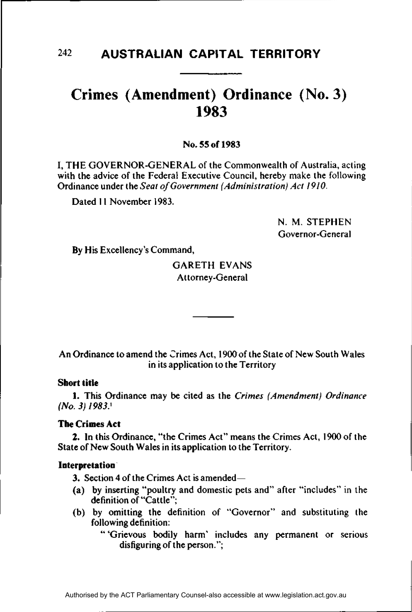# **Crimes (Amendment) Ordinance (No. 3) 1983**

No. **55 of 1983** 

**I,** THE GOVERNOR-GENERAL of the Commonwealth of Australia, acting with the advice of the Federal Executive Council, hereby make the following Ordinance under the *Seat of Government (Administration) Act 1910.* 

Dated 11 November 1983.

N. M. STEPHEN Governor-General

By His Excellency's Command,

# GARETH EVANS Attorney-General

An Ordinance to amend the Crimes Act, 1900 of the State of New South Wales in its application to the Territory

# **Short title**

**1.** This Ordinance may be cited as the *Crimes (Amendment) Ordinance (No. 3) 1983}* 

# **The Crimes Act**

**2. In** this Ordinance, "the Crimes Act" means the Crimes Act, 1900 of the State of New South Wales in its application to the Territory.

# **Interpretation**

3. Section 4 of the Crimes Act is amended—

- (a) by inserting "poultry and domestic pets and" after "includes" in the definition of "Cattle";
- (b) by omitting the definition of "Governor" and substituting the following definition:
	- " 'Grievous bodily harm' includes any permanent or serious disfiguring of the person.";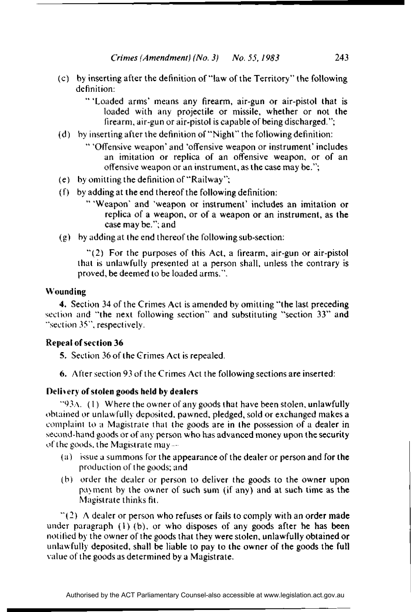- (c) by inserting after the definition of "law of the Territory" the following definition:
	- "' 'Loaded arms' means any firearm, air-gun or air-pistol that is loaded with any projectile or missile, whether or not the firearm, air-gun or air-pistol is capable of being discharged.";
- (d) by inserting after the definition of "Night" the following definition:
	- " 'Offensive weapon' and 'offensive weapon or instrument' includes an imitation or replica of an offensive weapon, or of an offensive weapon or an instrument, as the case may be.";
- (e) by omitting the definition of "Railway";
- (f) by adding at the end thereof the following definition:
	- ' 'Weapon' and 'weapon or instrument' includes an imitation or replica of a weapon, or of a weapon or an instrument, as the case may be."; and
- (g) by adding at the end thereof the following sub-section:

"(2) For the purposes of this Act, a firearm, air-gun or air-pistol that is unlawfully presented at a person shall, unless the contrary is proved, be deemed to be loaded arms.".

#### Wounding

4. Section 34 of the Crimes Act is amended by omitting "the last preceding section and "the next following section" and substituting "section 33" and "section 35", respectively.

### Repeal of section 36

5. Section 36 of the Grimes Act is repealed.

6. After section 93 of the Crimes Act the following sections are inserted:

#### Delivery of stolen goods held by dealers

"93A. (1) Where the owner of any goods that have been stolen, unlawfully obtained or unlawfully deposited, pawned, pledged, sold or exchanged makes a complaint to a Magistrate that the goods are in the possession of a dealer in second-hand goods or of any person who has advanced money upon the security of the goods, the Magistrate may—

- (a) issue a summons for the appearance of the dealer or person and for the production of the goods; and
- (b) order the dealer or person to deliver the goods to the owner upon payment by the owner of such sum (if any) and at such time as the Magistrate thinks fit.

 $\degree$ (2) A dealer or person who refuses or fails to comply with an order made under paragraph (1) (b), or who disposes of any goods after he has been notified by the owner of the goods that they were stolen, unlawfully obtained or unlaw fully deposited, shall be liable to pay to the owner of the goods the full value of the goods as determined by a Magistrate.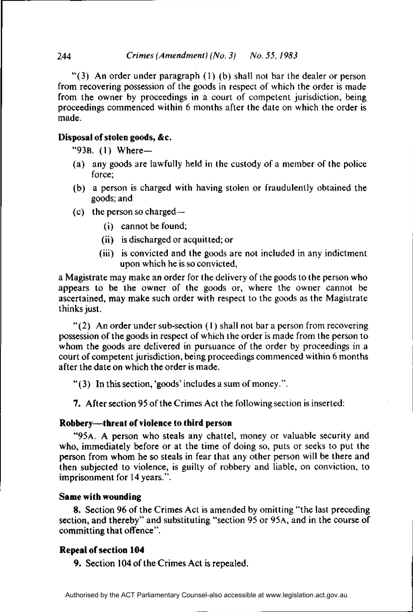### 244 *Crimes (Amendment) (No. 3) No. 55, 1983*

"(3) An order under paragraph  $(1)$  (b) shall not bar the dealer or person from recovering possession of the goods in respect of which the order is made from the owner by proceedings in a court of competent jurisdiction, being proceedings commenced within 6 months after the date on which the order is made.

### **Disposal of stolen goods, &c.**

"93B. (1) Where—

- (a) any goods are lawfully held in the custody of a member of the police force;
- (b) a person is charged with having stolen or fraudulently obtained the goods; and
- (c) the person so charged—
	- (i) cannot be found;
	- (ii) is discharged or acquitted; or
	- (iii) is convicted and the goods are not included in any indictment upon which he is so convicted,

a Magistrate may make an order for the delivery of the goods to the person who appears to be the owner of the goods or, where the owner cannot be ascertained, may make such order with respect to the goods as the Magistrate thinks just.

" $(2)$  An order under sub-section  $(1)$  shall not bar a person from recovering possession of the goods in respect of which the order is made from the person to whom the goods are delivered in pursuance of the order by proceedings in a court of competent jurisdiction, being proceedings commenced within 6 months after the date on which the order is made.

"(3) In this section, 'goods' includes a sum of money.".

7. After section 95 of the Crimes Act the following section is inserted:

#### **Robbery—threat of violence to third person**

"95A. A person who steals any chattel, money or valuable security and who, immediately before or at the time of doing so, puts or seeks to put the person from whom he so steals in fear that any other person will be there and then subjected to violence, is guilty of robbery and liable, on conviction, to imprisonment for 14 years.".

#### **Same with wounding**

**8.** Section 96 of the Crimes Act is amended by omitting "the last preceding section, and thereby" and substituting "section 95 or 95A, and in the course of committing that offence".

# **Repeal of section 104**

**9.** Section 104 of the Crimes Act is repealed.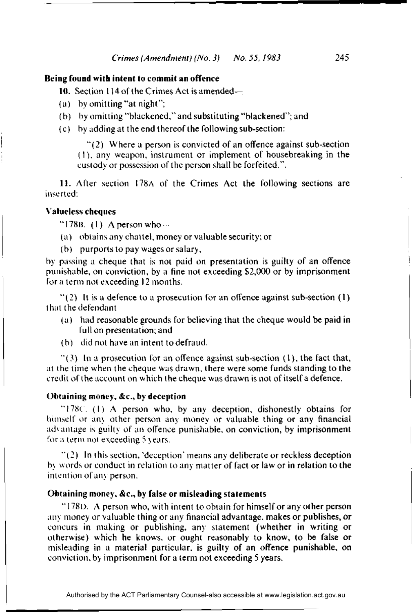#### **Being found with intent to commit an offence**

**10.** Section 114 of the Crimes Act is amended—

- (a) by omitting "at night";
- (b) by omitting "blackened," and substituting "blackened"; and
- (c) by adding at the end thereof the following sub-section:

"(2) Where a person is convicted of an offence against sub-section (I), any weapon, instrument or implement of housebreaking in the custody or possession of the person shall be forfeited.".

11. After section 178A of the Crimes Act the following sections are inserted:

#### **Valueless cheques**

"178B. (1) A person who  $\cdots$ 

- (a) obtains any chattel, money or valuable security; or
- (b) purports to pay wages or salary,

by passing a cheque that is not paid on presentation is guilty of an offence punishable, on conviction, by a fine not exceeding \$2,000 or by imprisonment for a term not exceeding 12 months.

 $\degree$ (2) It is a defence to a prosecution for an offence against sub-section (1) that the defendant

- (a) had reasonable grounds for believing that the cheque would be paid in full on presentation; and
- (b) did not have an intent to defraud.

 $\degree$ (3) In a prosecution for an offence against sub-section (1), the fact that, at the time when the cheque was drawn, there were some funds standing to the credit of the account on which the cheque was drawn is not of itself a defence.

#### **Obtaining money, &c, by deception**

"178c. (1) A person who, by any deception, dishonestly obtains for himself or any other person any money or valuable thing or any financial advantage is guilty of an offence punishable, on conviction, by imprisonment for a term not exceeding 5 years.

"(2) In this section, 'deception' means any deliberate or reckless deception by words or conduct in relation to any matter of fact or law or in relation to the intention of any person.

### **Obtaining money, &c., by false or misleading statements**

" $178D$ . A person who, with intent to obtain for himself or any other person any money or valuable thing or any financial advantage, makes or publishes, or concurs in making or publishing, any statement (whether in writing or otherwise) which he knows, or ought reasonably to know, to be false or misleading in a material particular, is guilty of an offence punishable, **on**  conviction, by imprisonment for a term not exceeding 5 years.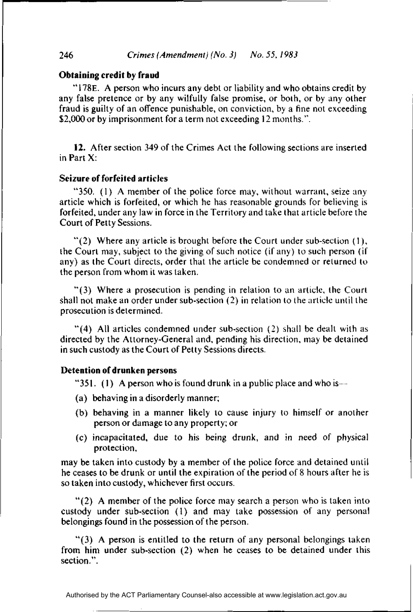### **Obtaining credit by fraud**

"178E. A person who incurs any debt or liability and who obtains credit by any false pretence or by any wilfully false promise, or both, or by any other fraud is guilty of an offence punishable, on conviction, by a fine not exceeding \$2,000 or by imprisonment for a term not exceeding 12 months.".

12. After section 349 of the Crimes Act the following sections are inserted in Part X:

#### **Seizure of forfeited articles**

"350. (1) A member of the police force may, without warrant, seize any article which is forfeited, or which he has reasonable grounds for believing is forfeited, under any law in force in the Territory and take that article before the Court of Petty Sessions.

"(2) Where any article is brought before the Court under sub-section  $(1)$ , the Court may, subject to the giving of such notice (if any) to such person (if any) as the Court directs, order that the article be condemned or returned to the person from whom it was taken.

"(3) Where a prosecution is pending in relation to an article, the Court shall not make an order under sub-section (2) in relation to the article until the prosecution is determined.

"(4) All articles condemned under sub-section (2) shall be dealt with as directed by the Attorney-General and, pending his direction, may be detained in such custody as the Court of Petty Sessions directs.

#### **Detention of drunken persons**

"351. (1) A person who is found drunk in a public place and who is---

- (a) behaving in a disorderly manner;
- (b) behaving in a manner likely to cause injury to himself or another person or damage to any property; or
- (c) incapacitated, due to his being drunk, and in need of physical protection,

may be taken into custody by a member of the police force and detained until he ceases to be drunk or until the expiration of the period of 8 hours after he is so taken into custody, whichever first occurs.

"(2) A member of the police force may search a person who is taken into custody under sub-section (1) and may take possession of any personal belongings found in the possession of the person.

"(3) A person is entitled to the return of any personal belongings taken from him under sub-section (2) when he ceases to be detained under this section.".

Authorised by the ACT Parliamentary Counsel-also accessible at www.legislation.act.gov.au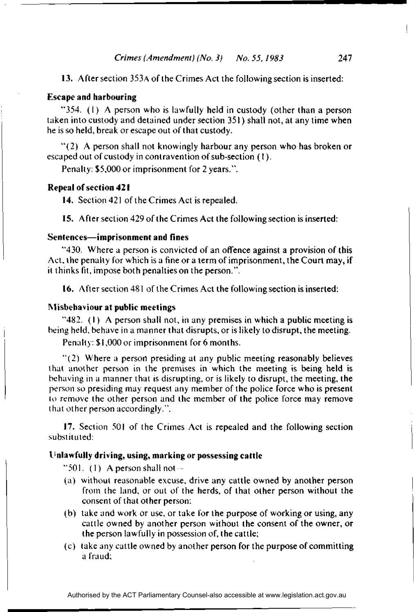13. After section 353A of the Crimes Act the following section is inserted:

## Escape **and harbouring**

"354. (1) A person who is lawfully held in custody (other than a person taken into custody and detained under section 351) shall not, at any time when he is so held, break or escape out of that custody.

"(2) A person shall not knowingly harbour any person who has broken or escaped out of custody in contravention of sub-section (1).

Penalty: \$5,000 or imprisonment for 2 years.".

#### **Repeal of section 421**

**14.** Section 421 of the Crimes Act is repealed.

15. After section 429 of the Crimes Act the following section is inserted:

#### **Sentences**—**imprisonment and fines**

"430. Where a person is convicted of an offence against a provision of this Act, the penalty for which is a fine or a term of imprisonment, the Court may, if it thinks fit, impose both penalties on the person.".

16. After section 481 of the Crimes Act the following section is inserted:

#### **Misbehaviour at public meetings**

"482. (1) A person shall not, in any premises in which a public meeting is being held, behave in a manner that disrupts, or is likely to disrupt, the meeting.

Penalty: \$1,000 or imprisonment for 6 months.

"(2) Where a person presiding at any public meeting reasonably believes that another person in the premises in which the meeting is being held is behaving in a manner that is disrupting, or is likely to disrupt, the meeting, the person so presiding may request any member of the police force who is present to remove the other person and the member of the police force may remove that other person accordingly.".

17. Section 501 of the Crimes Act is repealed and the following section substituted:

#### **Unlawfully driving, using, marking or possessing cattle**

"501. (1) A person shall not  $-$ 

- (a) without reasonable excuse, drive any cattle owned by another person from the land, or out of the herds, of that other person without the consent of that other person:
- (b) take and work or use, or take for the purpose of working or using, any cattle owned by another person without the consent of the owner, or the person lawfully in possession of, the cattle;
- (c) take any cattle owned by another person for the purpose of committing a fraud;

Authorised by the ACT Parliamentary Counsel-also accessible at www.legislation.act.gov.au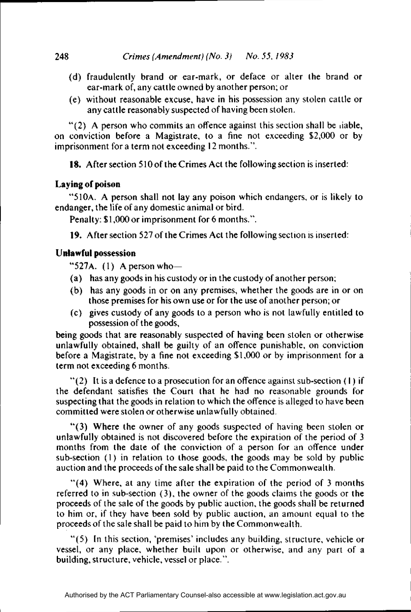- (d) fraudulently brand or ear-mark, or deface or alter the brand or ear-mark of, any cattle owned by another person; or
- (e) without reasonable excuse, have in his possession any stolen cattle or any cattle reasonably suspected of having been stolen.

"(2) A person who commits an offence against this section shall be liable, on conviction before a Magistrate, to a fine not exceeding \$2,000 or by imprisonment for a term not exceeding 12 months.".

18. After section 510 of the Crimes Act the following section is inserted:

# **Laying of poison**

"510A. A person shall not lay any poison which endangers, or is likely to endanger, the life of any domestic animal or bird.

Penalty: \$1,000 or imprisonment for 6 months.".

19. After section 527 of the Crimes Act the following section is inserted:

# **Unlawful possession**

"527A.  $(1)$  A person who-

- (a) has any goods in his custody or in the custody of another person;
- (b) has any goods in or on any premises, whether the goods are in or on those premises for his own use or for the use of another person; or
- (c) gives custody of any goods to a person who is not lawfully entitled to possession of the goods,

being goods that are reasonably suspected of having been stolen or otherwise unlawfully obtained, shall be guilty of an offence punishable, on conviction before a Magistrate, by a fine not exceeding \$1,000 or by imprisonment for a term not exceeding 6 months.

 $"(2)$  It is a defence to a prosecution for an offence against sub-section (1) if the defendant satisfies the Court that he had no reasonable grounds for suspecting that the goods in relation to which the offence is alleged to have been committed were stolen or otherwise unlawfully obtained.

"(3) Where the owner of any goods suspected of having been stolen or unlawfully obtained is not discovered before the expiration of the period of 3 months from the date of the conviction of a person for an offence under sub-section (1) in relation to those goods, the goods may be sold by public auction and the proceeds of the sale shall be paid to the Commonwealth.

"(4) Where, at any time after the expiration of the period of 3 months referred to in sub-section (3), the owner of the goods claims the goods or the proceeds of the sale of the goods by public auction, the goods shall be returned to him or, if they have been sold by public auction, an amount equal to the proceeds of the sale shall be paid to him by the Commonwealth.

"(5) In this section, 'premises' includes any building, structure, vehicle or vessel, or any place, whether built upon or otherwise, and any part of a building, structure, vehicle, vessel or place.".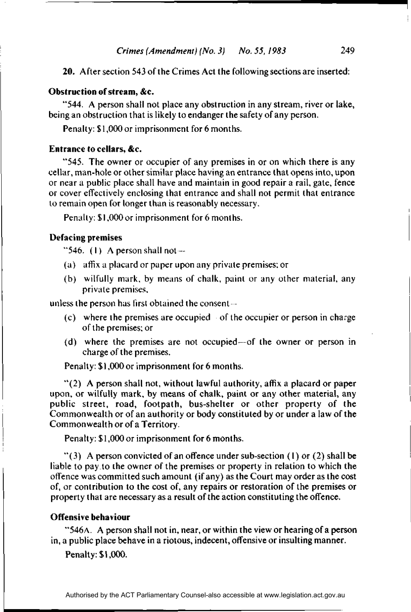20. After section 543 of the Crimes Act the following sections are inserted:

#### **Obstruction of stream, &c.**

"544. A person shall not place any obstruction in any stream, river or lake, being an obstruction that is likely to endanger the safety of any person.

Penalty: \$1,000 or imprisonment for 6 months.

#### **Entrance to cellars,** &c.

"545. The owner or occupier of any premises in or on which there is any cellar, man-hole or other similar place having an entrance that opens into, upon or near a public place shall have and maintain in good repair a rail, gate, fence or cover effectively enclosing that entrance and shall not permit that entrance to remain open for longer than is reasonably necessary.

Penalty: \$1,000 or imprisonment for 6 months.

#### **Defacing premises**

"546. (1) A person shall not—

- (a) affix a placard or paper upon any private premises; or
- (b) wilfully mark, by means of chalk, paint or any other material, any private premises,

unless the person has first obtained the consent

- (c) where the premises are occupied of the occupier or person in charge of the premises; or
- (d) where the premises are not occupied-of the owner or person in charge of the premises.

Penalty: \$1,000 or imprisonment for 6 months.

"(2) A person shall not, without lawful authority, affix a placard or paper upon, or wilfully mark, by means of chalk, paint or any other material, any public street, road, footpath, bus-shelter or other property of the Commonwealth or of an authority or body constituted by or under a law of the Commonwealth or of a Territory.

Penalty: \$1,000 or imprisonment for 6 months.

"(3) A person convicted of an offence under sub-section (1) or (2) shall be liable to pay to the owner of the premises or property in relation to which the offence was committed such amount (if any) as the Court may order as the cost of, or contribution to the cost of, any repairs or restoration of the premises or property that are necessary as a result of the action constituting the offence.

#### **Offensive behaviour**

"546A. A person shall not in, near, or within the view or hearing of a person in, a public place behave in a riotous, indecent, offensive or insulting manner.

Penalty: \$1,000.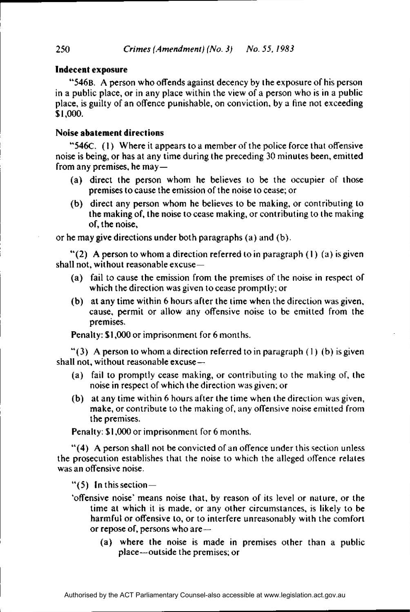#### **Indecent exposure**

"546B. A person who offends against decency by the exposure of his person in a public place, or in any place within the view of a person who is in a public place, is guilty of an offence punishable, on conviction, by a fine not exceeding \$1,000.

#### **Noise abatement directions**

"546C. (1) Where it appears to a member of the police force that offensive noise is being, or has at any time during the preceding 30 minutes been, emitted from any premises, he may—

- (a) direct the person whom he believes to be the occupier of those premises to cause the emission of the noise to cease; or
- (b) direct any person whom he believes to be making, or contributing to the making of, the noise to cease making, or contributing to the making of, the noise,

or he may give directions under both paragraphs (a) and (b).

"(2) A person to whom a direction referred to in paragraph (1) (a) is given shall not, without reasonable excuse—

- (a) fail to cause the emission from the premises of the noise in respect of which the direction was given to cease promptly; or
- (b) at any time within 6 hours after the time when the direction was given, cause, permit or allow any offensive noise to be emitted from the premises.

Penalty: \$1,000 or imprisonment for 6 months.

"(3) A person to whom a direction referred to in paragraph (1) (b) is given shall not, without reasonable excuse—

- (a) fail to promptly cease making, or contributing to the making of, the noise in respect of which the direction was given; or
- (b) at any time within 6 hours after the time when the direction was given, make, or contribute to the making of, any offensive noise emitted from the premises.

Penalty: \$1,000 or imprisonment for 6 months.

"(4) A person shall not be convicted of an offence under this section unless the prosecution establishes that the noise to which the alleged offence relates was an offensive noise.

" $(5)$  In this section —

- 'offensive noise' means noise that, by reason of its level or nature, or the time at which it is made, or any other circumstances, is likely to be harmful or offensive to, or to interfere unreasonably with the comfort or repose of, persons who are—
	- (a) where the noise is made in premises other than a public place—outside the premises; or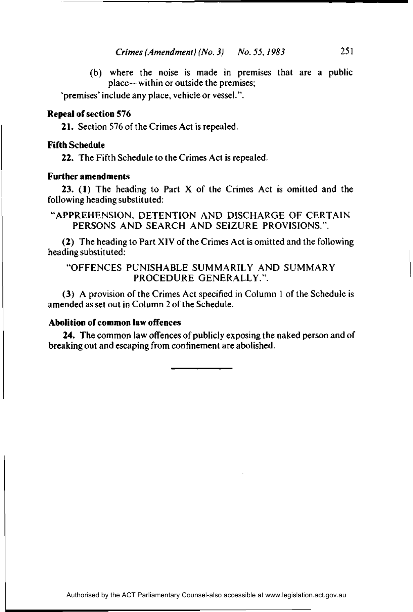(b) where the noise is made in premises that are a public place—within or outside the premises;

'premises' include any place, vehicle or vessel.".

# **Repeal of section 576**

**21.** Section 576 of the Crimes Act is repealed.

### **Fifth Schedule**

**22.** The Fifth Schedule to the Crimes Act is repealed.

# **Further amendments**

**23. (1)** The heading to Part X of the Crimes Act is omitted and the following heading substituted:

# "APPREHENSION, DETENTION AND DISCHARGE OF CERTAIN PERSONS AND SEARCH AND SEIZURE PROVISIONS.".

(2) The heading to Part XIV of the Crimes Act is omitted and the following heading substituted:

# "OFFENCES PUNISHABLE SUMMARILY AND SUMMARY PROCEDURE GENERALLY".

(3) A provision of the Crimes Act specified in Column 1 of the Schedule is amended as set out in Column 2 of the Schedule.

# **Abolition of common law offences**

**24.** The common law offences of publicly exposing the naked person and of breaking out and escaping from confinement are abolished.

Authorised by the ACT Parliamentary Counsel-also accessible at www.legislation.act.gov.au